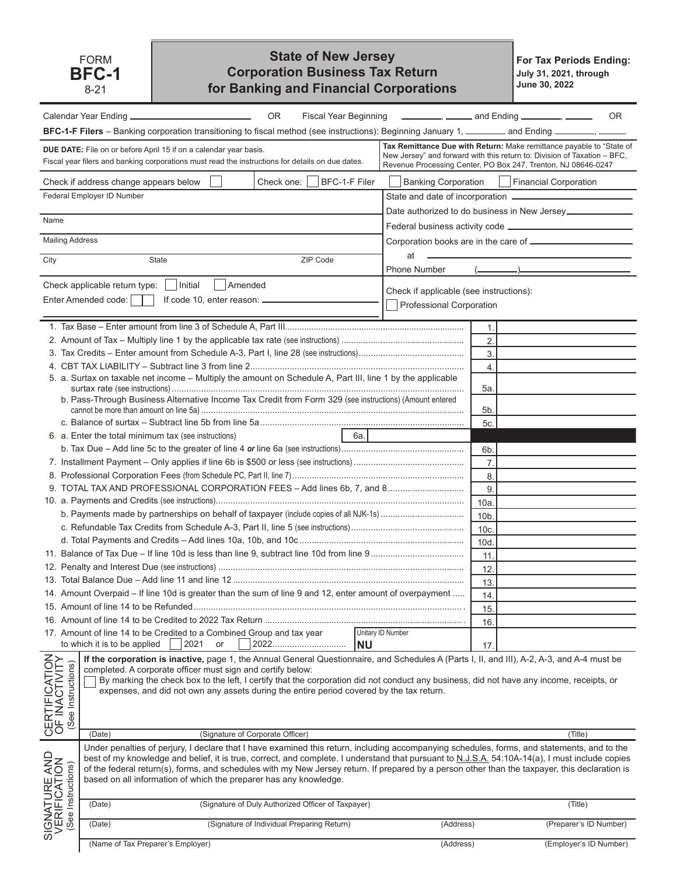## **State of New Jersey Corporation Business Tax Return for Banking and Financial Corporations**

**For Tax Periods Ending: July 31, 2021, through June 30, 2022**

|                                                      | OR.                                                                                                                                                                                                                                                                                                                                                                                                                                                                                                                  | Fiscal Year Beginning __________, _______ and Ending ________, ______ |                                               | 0R                                                                                                                                               |
|------------------------------------------------------|----------------------------------------------------------------------------------------------------------------------------------------------------------------------------------------------------------------------------------------------------------------------------------------------------------------------------------------------------------------------------------------------------------------------------------------------------------------------------------------------------------------------|-----------------------------------------------------------------------|-----------------------------------------------|--------------------------------------------------------------------------------------------------------------------------------------------------|
|                                                      | BFC-1-F Filers - Banking corporation transitioning to fiscal method (see instructions): Beginning January 1, ________ and Ending ________, __                                                                                                                                                                                                                                                                                                                                                                        |                                                                       |                                               |                                                                                                                                                  |
|                                                      | <b>DUE DATE:</b> File on or before April 15 if on a calendar year basis.<br>Fiscal year filers and banking corporations must read the instructions for details on due dates.                                                                                                                                                                                                                                                                                                                                         | Revenue Processing Center, PO Box 247, Trenton, NJ 08646-0247         |                                               | Tax Remittance Due with Return: Make remittance payable to "State of<br>New Jersey" and forward with this return to: Division of Taxation - BFC, |
|                                                      | BFC-1-F Filer<br>Check one:<br>Check if address change appears below                                                                                                                                                                                                                                                                                                                                                                                                                                                 |                                                                       | Banking Corporation     Financial Corporation |                                                                                                                                                  |
|                                                      | Federal Employer ID Number                                                                                                                                                                                                                                                                                                                                                                                                                                                                                           |                                                                       |                                               |                                                                                                                                                  |
|                                                      |                                                                                                                                                                                                                                                                                                                                                                                                                                                                                                                      |                                                                       |                                               |                                                                                                                                                  |
| Name                                                 |                                                                                                                                                                                                                                                                                                                                                                                                                                                                                                                      |                                                                       |                                               |                                                                                                                                                  |
| <b>Mailing Address</b>                               |                                                                                                                                                                                                                                                                                                                                                                                                                                                                                                                      |                                                                       |                                               |                                                                                                                                                  |
|                                                      |                                                                                                                                                                                                                                                                                                                                                                                                                                                                                                                      | at                                                                    |                                               |                                                                                                                                                  |
| City                                                 | ZIP Code<br><b>State</b>                                                                                                                                                                                                                                                                                                                                                                                                                                                                                             | Phone Number                                                          |                                               |                                                                                                                                                  |
|                                                      | Check applicable return type:<br>Initial<br>Amended                                                                                                                                                                                                                                                                                                                                                                                                                                                                  |                                                                       |                                               |                                                                                                                                                  |
|                                                      | Enter Amended code:<br>If code 10, enter reason: __________                                                                                                                                                                                                                                                                                                                                                                                                                                                          | Check if applicable (see instructions):                               |                                               |                                                                                                                                                  |
|                                                      |                                                                                                                                                                                                                                                                                                                                                                                                                                                                                                                      | Professional Corporation                                              |                                               |                                                                                                                                                  |
|                                                      |                                                                                                                                                                                                                                                                                                                                                                                                                                                                                                                      |                                                                       | 1.                                            |                                                                                                                                                  |
|                                                      |                                                                                                                                                                                                                                                                                                                                                                                                                                                                                                                      |                                                                       | 2.                                            |                                                                                                                                                  |
|                                                      |                                                                                                                                                                                                                                                                                                                                                                                                                                                                                                                      |                                                                       | 3.                                            |                                                                                                                                                  |
|                                                      |                                                                                                                                                                                                                                                                                                                                                                                                                                                                                                                      |                                                                       | $\overline{4}$ .                              |                                                                                                                                                  |
|                                                      | 5. a. Surtax on taxable net income - Multiply the amount on Schedule A, Part III, line 1 by the applicable                                                                                                                                                                                                                                                                                                                                                                                                           |                                                                       |                                               |                                                                                                                                                  |
|                                                      |                                                                                                                                                                                                                                                                                                                                                                                                                                                                                                                      |                                                                       | 5а.                                           |                                                                                                                                                  |
|                                                      | b. Pass-Through Business Alternative Income Tax Credit from Form 329 (see instructions) (Amount entered                                                                                                                                                                                                                                                                                                                                                                                                              |                                                                       |                                               |                                                                                                                                                  |
|                                                      |                                                                                                                                                                                                                                                                                                                                                                                                                                                                                                                      |                                                                       | 5b.                                           |                                                                                                                                                  |
|                                                      |                                                                                                                                                                                                                                                                                                                                                                                                                                                                                                                      |                                                                       | 5c.                                           |                                                                                                                                                  |
|                                                      | 6a.<br>6. a. Enter the total minimum tax (see instructions)                                                                                                                                                                                                                                                                                                                                                                                                                                                          |                                                                       |                                               |                                                                                                                                                  |
|                                                      |                                                                                                                                                                                                                                                                                                                                                                                                                                                                                                                      |                                                                       | 6b.                                           |                                                                                                                                                  |
|                                                      |                                                                                                                                                                                                                                                                                                                                                                                                                                                                                                                      |                                                                       | $\overline{7}$ .                              |                                                                                                                                                  |
|                                                      |                                                                                                                                                                                                                                                                                                                                                                                                                                                                                                                      |                                                                       | 8.                                            |                                                                                                                                                  |
|                                                      | 9. TOTAL TAX AND PROFESSIONAL CORPORATION FEES - Add lines 6b, 7, and 8                                                                                                                                                                                                                                                                                                                                                                                                                                              |                                                                       | 9.                                            |                                                                                                                                                  |
|                                                      |                                                                                                                                                                                                                                                                                                                                                                                                                                                                                                                      |                                                                       | 10a.                                          |                                                                                                                                                  |
|                                                      |                                                                                                                                                                                                                                                                                                                                                                                                                                                                                                                      |                                                                       | 10 <sub>b</sub>                               |                                                                                                                                                  |
|                                                      |                                                                                                                                                                                                                                                                                                                                                                                                                                                                                                                      |                                                                       | 10c                                           |                                                                                                                                                  |
|                                                      |                                                                                                                                                                                                                                                                                                                                                                                                                                                                                                                      |                                                                       | 10d.                                          |                                                                                                                                                  |
|                                                      |                                                                                                                                                                                                                                                                                                                                                                                                                                                                                                                      |                                                                       | 11                                            |                                                                                                                                                  |
|                                                      |                                                                                                                                                                                                                                                                                                                                                                                                                                                                                                                      |                                                                       | 12.                                           |                                                                                                                                                  |
|                                                      |                                                                                                                                                                                                                                                                                                                                                                                                                                                                                                                      |                                                                       | 13.                                           |                                                                                                                                                  |
|                                                      | 14. Amount Overpaid - If line 10d is greater than the sum of line 9 and 12, enter amount of overpayment                                                                                                                                                                                                                                                                                                                                                                                                              |                                                                       | 14.                                           |                                                                                                                                                  |
|                                                      |                                                                                                                                                                                                                                                                                                                                                                                                                                                                                                                      |                                                                       | 15.                                           |                                                                                                                                                  |
|                                                      |                                                                                                                                                                                                                                                                                                                                                                                                                                                                                                                      |                                                                       | 16.                                           |                                                                                                                                                  |
|                                                      | 17. Amount of line 14 to be Credited to a Combined Group and tax year                                                                                                                                                                                                                                                                                                                                                                                                                                                | Unitary ID Number                                                     |                                               |                                                                                                                                                  |
|                                                      | to which it is to be applied<br>2021<br>2022<br>or<br><b>NU</b>                                                                                                                                                                                                                                                                                                                                                                                                                                                      |                                                                       | 17 <sub>2</sub>                               |                                                                                                                                                  |
| CERTIFICATION<br>OF INACTIVITY<br>(See Instructions) | If the corporation is inactive, page 1, the Annual General Questionnaire, and Schedules A (Parts I, II, and III), A-2, A-3, and A-4 must be<br>completed. A corporate officer must sign and certify below:<br>By marking the check box to the left, I certify that the corporation did not conduct any business, did not have any income, receipts, or<br>expenses, and did not own any assets during the entire period covered by the tax return.                                                                   |                                                                       |                                               |                                                                                                                                                  |
|                                                      | (Signature of Corporate Officer)<br>(Date)                                                                                                                                                                                                                                                                                                                                                                                                                                                                           |                                                                       |                                               | (Title)                                                                                                                                          |
| SIGNATURE AND<br>VERIFICATION<br>(See Instructions)  | Under penalties of perjury, I declare that I have examined this return, including accompanying schedules, forms, and statements, and to the<br>best of my knowledge and belief, it is true, correct, and complete. I understand that pursuant to N.J.S.A. 54:10A-14(a), I must include copies<br>of the federal return(s), forms, and schedules with my New Jersey return. If prepared by a person other than the taxpayer, this declaration is<br>based on all information of which the preparer has any knowledge. |                                                                       |                                               |                                                                                                                                                  |
|                                                      | (Signature of Duly Authorized Officer of Taxpayer)<br>(Date)                                                                                                                                                                                                                                                                                                                                                                                                                                                         |                                                                       |                                               | (Title)                                                                                                                                          |
|                                                      | (Signature of Individual Preparing Return)<br>(Date)                                                                                                                                                                                                                                                                                                                                                                                                                                                                 | (Address)                                                             |                                               | (Preparer's ID Number)                                                                                                                           |
|                                                      | (Name of Tax Preparer's Employer)                                                                                                                                                                                                                                                                                                                                                                                                                                                                                    | (Address)                                                             |                                               | (Employer's ID Number)                                                                                                                           |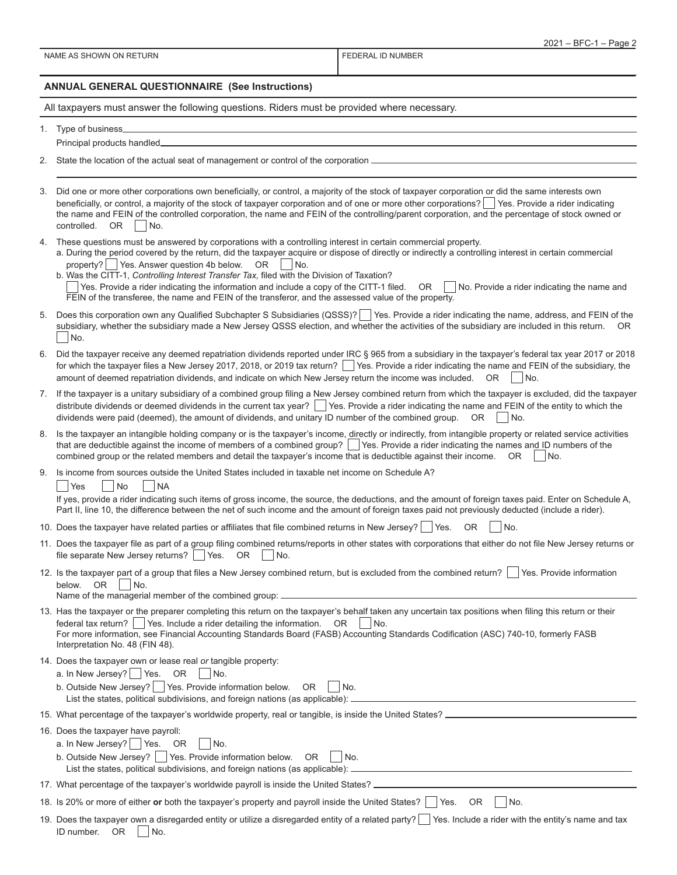| NAME AS SHOWN ON RETURN |  |
|-------------------------|--|
|-------------------------|--|

FEDERAL ID NUMBER

#### **ANNUAL GENERAL QUESTIONNAIRE (See Instructions)**

All taxpayers must answer the following questions. Riders must be provided where necessary.

- 1. Type of business Principal products handled
- 2. State the location of the actual seat of management or control of the corporation
- 3. Did one or more other corporations own beneficially, or control, a majority of the stock of taxpayer corporation or did the same interests own beneficially, or control, a majority of the stock of taxpayer corporation and of one or more other corporations?  $\Box$  Yes. Provide a rider indicating the name and FEIN of the controlled corporation, the name and FEIN of the controlling/parent corporation, and the percentage of stock owned or  $controlled. OR  $\Box$  No.$
- 4. These questions must be answered by corporations with a controlling interest in certain commercial property.

|                                                     | a. During the period covered by the return, did the taxpayer acquire or dispose of directly or indirectly a controlling interest in certain commercial |
|-----------------------------------------------------|--------------------------------------------------------------------------------------------------------------------------------------------------------|
| property?   Yes. Answer question 4b below. OR   No. |                                                                                                                                                        |

b. Was the CITT-1, *Controlling Interest Transfer Tax,* filed with the Division of Taxation?  $\gamma$ es. Provide a rider indicating the information and include a copy of the CITT-1 filed. OR  $\Box$  No. Provide a rider indicating the name and FEIN of the transferee, the name and FEIN of the transferor, and the assessed value of the property.

- 5. Does this corporation own any Qualified Subchapter S Subsidiaries (QSSS)? Yes. Provide a rider indicating the name, address, and FEIN of the subsidiary, whether the subsidiary made a New Jersey QSSS election, and whether the activities of the subsidiary are included in this return. OR No.
- 6. Did the taxpayer receive any deemed repatriation dividends reported under IRC § 965 from a subsidiary in the taxpayer's federal tax year 2017 or 2018 for which the taxpayer files a New Jersey 2017, 2018, or 2019 tax return? Wes. Provide a rider indicating the name and FEIN of the subsidiary, the amount of deemed repatriation dividends, and indicate on which New Jersey return the income was included.  $OR$   $\Box$  No.
- 7. If the taxpayer is a unitary subsidiary of a combined group filing a New Jersey combined return from which the taxpayer is excluded, did the taxpayer distribute dividends or deemed dividends in the current tax year? Similarly es. Provide a rider indicating the name and FEIN of the entity to which the dividends were paid (deemed), the amount of dividends, and unitary ID number of the combined group.  $OR \cap No$ .
- 8. Is the taxpayer an intangible holding company or is the taxpayer's income, directly or indirectly, from intangible property or related service activities that are deductible against the income of members of a combined group? | Yes. Provide a rider indicating the names and ID numbers of the combined group or the related members and detail the taxpayer's income that is deductible against their income.  $OR \cap No$ .
- 9. Is income from sources outside the United States included in taxable net income on Schedule A?

Yes No NA

If yes, provide a rider indicating such items of gross income, the source, the deductions, and the amount of foreign taxes paid. Enter on Schedule A, Part II, line 10, the difference between the net of such income and the amount of foreign taxes paid not previously deducted (include a rider).

- 10. Does the taxpayer have related parties or affiliates that file combined returns in New Jersey?  $\Box$  Yes. OR  $\Box$  No.
- 11. Does the taxpayer file as part of a group filing combined returns/reports in other states with corporations that either do not file New Jersey returns or file separate New Jersey returns?  $\vert$  Yes. OR  $\vert$  No.
- 12. Is the taxpayer part of a group that files a New Jersey combined return, but is excluded from the combined return?  $\Box$  Yes. Provide information below.  $OR$  | | No.

Name of the managerial member of the combined group:  $\equiv$ 

- 13. Has the taxpayer or the preparer completing this return on the taxpayer's behalf taken any uncertain tax positions when filing this return or their federal tax return?  $\Box$  Yes. Include a rider detailing the information. OR  $\Box$  No. For more information, see Financial Accounting Standards Board (FASB) Accounting Standards Codification (ASC) 740-10, formerly FASB Interpretation No. 48 (FIN 48).
- 14. Does the taxpayer own or lease real *or* tangible property:
	- a. In New Jersey?  $\Box$  Yes. OR  $\Box$  No.
	- b. Outside New Jersey?  $\Box$  Yes. Provide information below. OR  $\Box$  No. List the states, political subdivisions, and foreign nations (as applicable): .

|  |  | 15. What percentage of the taxpayer's worldwide property, real or tangible, is inside the United States? _ |  |
|--|--|------------------------------------------------------------------------------------------------------------|--|
|  |  |                                                                                                            |  |

- 16. Does the taxpayer have payroll:
	- a. In New Jersey? | Yes. OR  $\vert$  No.
	- b. Outside New Jersey?  $\Box$  Yes. Provide information below. OR  $\Box$  No.

List the states, political subdivisions, and foreign nations (as applicable):

17. What percentage of the taxpayer's worldwide payroll is inside the United States? <sub>-</sub>

18. Is 20% or more of either or both the taxpayer's property and payroll inside the United States? **Yes.** OR No.

19. Does the taxpayer own a disregarded entity or utilize a disregarded entity of a related party? Tes. Include a rider with the entity's name and tax ID number.  $OR$  | No.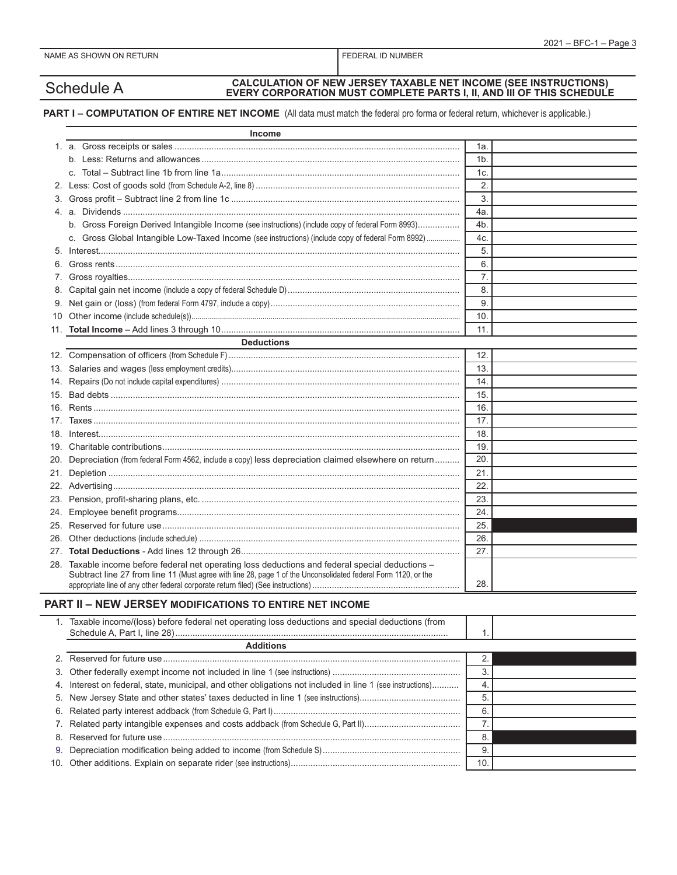$\overline{\phantom{0}}$ 

# Schedule A **CALCULATION OF NEW JERSEY TAXABLE NET INCOME (SEE INSTRUCTIONS) EVERY CORPORATION MUST COMPLETE PARTS I, II, AND III OF THIS SCHEDULE**

## **PART I – COMPUTATION OF ENTIRE NET INCOME** (All data must match the federal pro forma or federal return, whichever is applicable.)

|     | <b>Income</b>                                                                                                                                                                                                      |     |  |
|-----|--------------------------------------------------------------------------------------------------------------------------------------------------------------------------------------------------------------------|-----|--|
|     |                                                                                                                                                                                                                    | 1а. |  |
|     |                                                                                                                                                                                                                    | 1b. |  |
|     |                                                                                                                                                                                                                    | 1c. |  |
| 2.  |                                                                                                                                                                                                                    | 2.  |  |
| 3.  |                                                                                                                                                                                                                    | 3.  |  |
|     |                                                                                                                                                                                                                    | 4a. |  |
|     | b. Gross Foreign Derived Intangible Income (see instructions) (include copy of federal Form 8993)                                                                                                                  | 4b. |  |
|     | c. Gross Global Intangible Low-Taxed Income (see instructions) (include copy of federal Form 8992)                                                                                                                 | 4c. |  |
| 5.  |                                                                                                                                                                                                                    | 5.  |  |
| 6.  |                                                                                                                                                                                                                    | 6.  |  |
| 7.  |                                                                                                                                                                                                                    | 7.  |  |
|     |                                                                                                                                                                                                                    | 8.  |  |
| 9.  |                                                                                                                                                                                                                    | 9.  |  |
| 10  |                                                                                                                                                                                                                    | 10. |  |
|     |                                                                                                                                                                                                                    | 11. |  |
|     | <b>Deductions</b>                                                                                                                                                                                                  |     |  |
|     |                                                                                                                                                                                                                    | 12. |  |
|     |                                                                                                                                                                                                                    | 13. |  |
| 14. |                                                                                                                                                                                                                    | 14. |  |
| 15. |                                                                                                                                                                                                                    | 15. |  |
| 16. |                                                                                                                                                                                                                    | 16. |  |
| 17. |                                                                                                                                                                                                                    | 17. |  |
| 18. |                                                                                                                                                                                                                    | 18. |  |
|     |                                                                                                                                                                                                                    | 19. |  |
|     | 20. Depreciation (from federal Form 4562, include a copy) less depreciation claimed elsewhere on return                                                                                                            | 20. |  |
|     |                                                                                                                                                                                                                    | 21. |  |
|     |                                                                                                                                                                                                                    | 22. |  |
|     |                                                                                                                                                                                                                    | 23. |  |
| 24. |                                                                                                                                                                                                                    | 24. |  |
| 25. |                                                                                                                                                                                                                    | 25. |  |
|     |                                                                                                                                                                                                                    | 26. |  |
|     |                                                                                                                                                                                                                    | 27. |  |
|     | 28. Taxable income before federal net operating loss deductions and federal special deductions -<br>Subtract line 27 from line 11 (Must agree with line 28, page 1 of the Unconsolidated federal Form 1120, or the | 28. |  |
|     |                                                                                                                                                                                                                    |     |  |
|     | PART II - NEW JERSEY MODIFICATIONS TO ENTIRE NET INCOME                                                                                                                                                            |     |  |
|     | 1. Taxable income/(loss) before federal net operating loss deductions and special deductions (from                                                                                                                 | 1.  |  |
|     | <b>Additions</b>                                                                                                                                                                                                   |     |  |
| 2.  |                                                                                                                                                                                                                    | 2.  |  |
| 3.  |                                                                                                                                                                                                                    | 3.  |  |
| 4.  | Interest on federal, state, municipal, and other obligations not included in line 1 (see instructions)                                                                                                             | 4.  |  |
| 5.  |                                                                                                                                                                                                                    | 5.  |  |
| 6.  |                                                                                                                                                                                                                    | 6.  |  |
| 7.  |                                                                                                                                                                                                                    | 7.  |  |
| 8.  |                                                                                                                                                                                                                    | 8.  |  |
| 9.  |                                                                                                                                                                                                                    | 9.  |  |
|     |                                                                                                                                                                                                                    | 10. |  |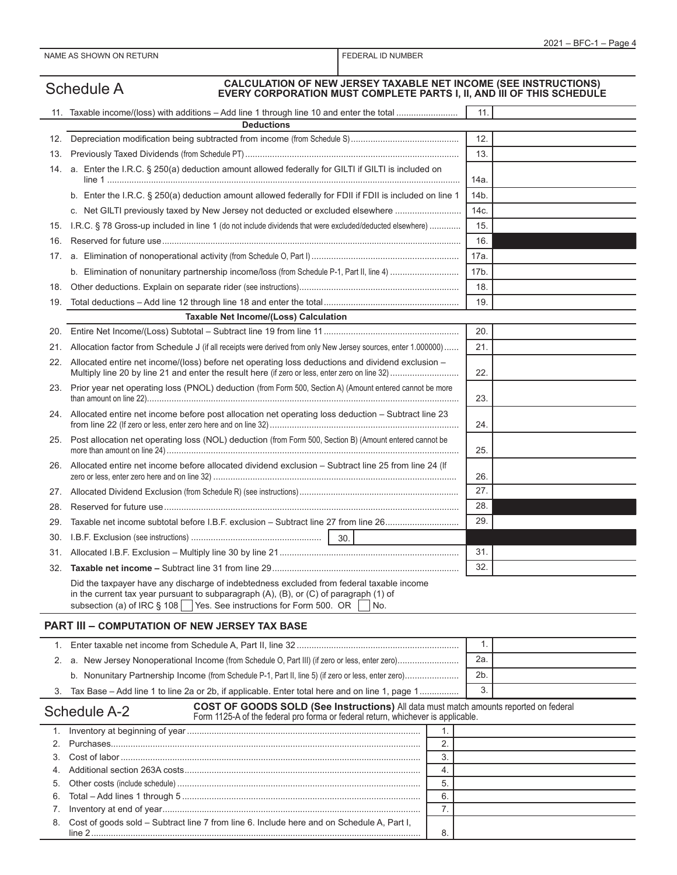|          | <b>CALCULATION OF NEW JERSEY TAXABLE NET INCOME (SEE INSTRUCTIONS)</b><br><b>Schedule A</b><br>EVERY CORPORATION MUST COMPLETE PARTS I, II, AND III OF THIS SCHEDULE                                                                                           |                |
|----------|----------------------------------------------------------------------------------------------------------------------------------------------------------------------------------------------------------------------------------------------------------------|----------------|
|          | <b>Deductions</b>                                                                                                                                                                                                                                              | 11.            |
| 12.      |                                                                                                                                                                                                                                                                | 12.            |
| 13.      |                                                                                                                                                                                                                                                                | 13.            |
|          | 14. a. Enter the I.R.C. § 250(a) deduction amount allowed federally for GILTI if GILTI is included on                                                                                                                                                          |                |
|          |                                                                                                                                                                                                                                                                | 14a.           |
|          | b. Enter the I.R.C. § 250(a) deduction amount allowed federally for FDII if FDII is included on line 1                                                                                                                                                         | 14b.           |
|          | c. Net GILTI previously taxed by New Jersey not deducted or excluded elsewhere                                                                                                                                                                                 | 14c.           |
|          | 15. I.R.C. § 78 Gross-up included in line 1 (do not include dividends that were excluded/deducted elsewhere)                                                                                                                                                   | 15.            |
| 16.      |                                                                                                                                                                                                                                                                | 16.            |
| 17.      |                                                                                                                                                                                                                                                                | 17a.           |
|          |                                                                                                                                                                                                                                                                | 17b.           |
| 18.      |                                                                                                                                                                                                                                                                | 18.            |
| 19.      |                                                                                                                                                                                                                                                                | 19.            |
|          | <b>Taxable Net Income/(Loss) Calculation</b>                                                                                                                                                                                                                   |                |
| 20.      |                                                                                                                                                                                                                                                                | 20.            |
| 21.      | Allocation factor from Schedule J (if all receipts were derived from only New Jersey sources, enter 1.000000)                                                                                                                                                  | 21.            |
|          | 22. Allocated entire net income/(loss) before net operating loss deductions and dividend exclusion –                                                                                                                                                           | 22.            |
|          | 23. Prior year net operating loss (PNOL) deduction (from Form 500, Section A) (Amount entered cannot be more                                                                                                                                                   | 23.            |
|          | 24. Allocated entire net income before post allocation net operating loss deduction - Subtract line 23                                                                                                                                                         | 24.            |
| 25.      | Post allocation net operating loss (NOL) deduction (from Form 500, Section B) (Amount entered cannot be                                                                                                                                                        | 25.            |
| 26.      | Allocated entire net income before allocated dividend exclusion - Subtract line 25 from line 24 (If                                                                                                                                                            | 26.            |
|          |                                                                                                                                                                                                                                                                | 27.            |
| 28.      |                                                                                                                                                                                                                                                                | 28.            |
| 29.      | Taxable net income subtotal before I.B.F. exclusion - Subtract line 27 from line 26                                                                                                                                                                            | 29.            |
| 30.      |                                                                                                                                                                                                                                                                |                |
|          |                                                                                                                                                                                                                                                                | 31.            |
|          |                                                                                                                                                                                                                                                                | 32.            |
|          | Did the taxpayer have any discharge of indebtedness excluded from federal taxable income<br>in the current tax year pursuant to subparagraph (A), (B), or (C) of paragraph (1) of<br>subsection (a) of IRC § 108 Yes. See instructions for Form 500. OR<br>No. |                |
|          | PART III - COMPUTATION OF NEW JERSEY TAX BASE                                                                                                                                                                                                                  |                |
|          |                                                                                                                                                                                                                                                                | $\mathbf{1}$ . |
|          |                                                                                                                                                                                                                                                                | 2a.            |
|          |                                                                                                                                                                                                                                                                | 2b.            |
| 3.       | Tax Base - Add line 1 to line 2a or 2b, if applicable. Enter total here and on line 1, page 1                                                                                                                                                                  | 3.             |
|          | COST OF GOODS SOLD (See Instructions) All data must match amounts reported on federal<br><b>Schedule A-2</b><br>Form 1125-A of the federal pro forma or federal return, whichever is applicable.                                                               |                |
| 1.       | 1.                                                                                                                                                                                                                                                             |                |
| 2.       | 2.                                                                                                                                                                                                                                                             |                |
| 3.       | 3.                                                                                                                                                                                                                                                             |                |
| 4.       | 4.                                                                                                                                                                                                                                                             |                |
| 5.       | 5.                                                                                                                                                                                                                                                             |                |
| 6.<br>7. | 6.<br>7.                                                                                                                                                                                                                                                       |                |
| 8.       | Cost of goods sold - Subtract line 7 from line 6. Include here and on Schedule A, Part I,                                                                                                                                                                      |                |
|          | 8.                                                                                                                                                                                                                                                             |                |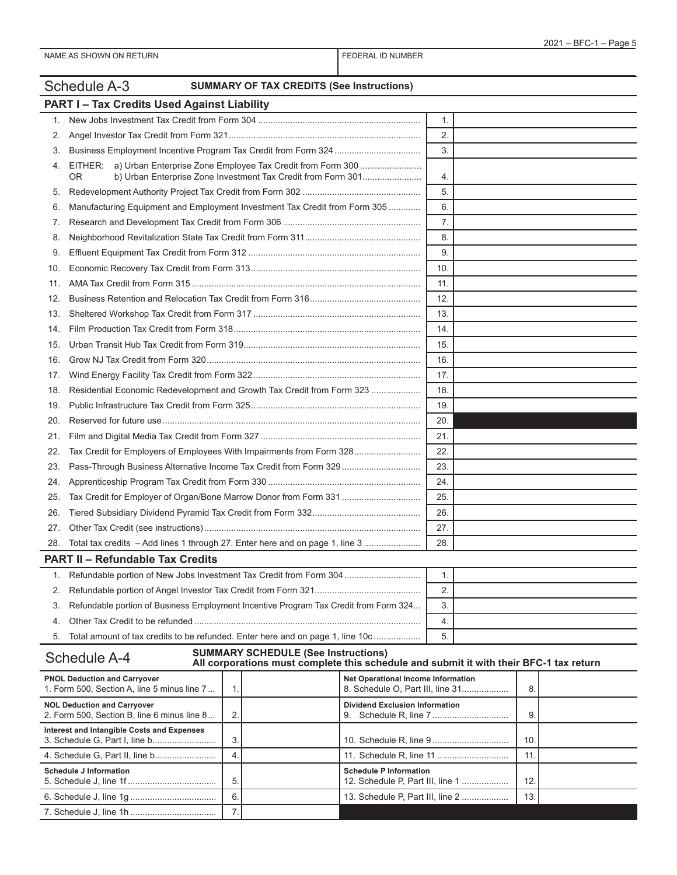|     | Schedule A-3                                                                                                                             | <b>SUMMARY OF TAX CREDITS (See Instructions)</b>                                                                                     |     |  |  |
|-----|------------------------------------------------------------------------------------------------------------------------------------------|--------------------------------------------------------------------------------------------------------------------------------------|-----|--|--|
|     | <b>PART I-Tax Credits Used Against Liability</b>                                                                                         |                                                                                                                                      |     |  |  |
| 1.  |                                                                                                                                          |                                                                                                                                      | 1.  |  |  |
| 2.  |                                                                                                                                          |                                                                                                                                      | 2.  |  |  |
| 3.  |                                                                                                                                          |                                                                                                                                      | 3.  |  |  |
| 4.  | EITHER: a) Urban Enterprise Zone Employee Tax Credit from Form 300<br>b) Urban Enterprise Zone Investment Tax Credit from Form 301<br>0R |                                                                                                                                      | 4.  |  |  |
| 5.  |                                                                                                                                          |                                                                                                                                      | 5.  |  |  |
| 6.  | Manufacturing Equipment and Employment Investment Tax Credit from Form 305                                                               |                                                                                                                                      | 6.  |  |  |
| 7.  |                                                                                                                                          |                                                                                                                                      | 7.  |  |  |
| 8.  |                                                                                                                                          |                                                                                                                                      | 8.  |  |  |
| 9.  |                                                                                                                                          |                                                                                                                                      | 9.  |  |  |
| 10. |                                                                                                                                          |                                                                                                                                      | 10. |  |  |
| 11. |                                                                                                                                          |                                                                                                                                      | 11. |  |  |
| 12. |                                                                                                                                          |                                                                                                                                      | 12. |  |  |
| 13. |                                                                                                                                          |                                                                                                                                      | 13. |  |  |
| 14. |                                                                                                                                          |                                                                                                                                      | 14. |  |  |
| 15. |                                                                                                                                          | 15.                                                                                                                                  |     |  |  |
| 16. |                                                                                                                                          |                                                                                                                                      | 16. |  |  |
| 17. |                                                                                                                                          |                                                                                                                                      | 17. |  |  |
| 18. | Residential Economic Redevelopment and Growth Tax Credit from Form 323                                                                   |                                                                                                                                      | 18. |  |  |
| 19. |                                                                                                                                          |                                                                                                                                      | 19. |  |  |
| 20. |                                                                                                                                          |                                                                                                                                      | 20. |  |  |
| 21. |                                                                                                                                          |                                                                                                                                      | 21. |  |  |
| 22. | Tax Credit for Employers of Employees With Impairments from Form 328                                                                     |                                                                                                                                      | 22. |  |  |
| 23. | Pass-Through Business Alternative Income Tax Credit from Form 329                                                                        |                                                                                                                                      | 23. |  |  |
| 24. |                                                                                                                                          |                                                                                                                                      | 24. |  |  |
| 25. |                                                                                                                                          | 25.                                                                                                                                  |     |  |  |
| 26. |                                                                                                                                          |                                                                                                                                      | 26. |  |  |
| 27. |                                                                                                                                          |                                                                                                                                      | 27. |  |  |
| 28. | Total tax credits - Add lines 1 through 27. Enter here and on page 1, line 3                                                             |                                                                                                                                      | 28. |  |  |
|     | <b>PART II - Refundable Tax Credits</b>                                                                                                  |                                                                                                                                      |     |  |  |
|     | Refundable portion of New Jobs Investment Tax Credit from Form 304                                                                       |                                                                                                                                      | 1.  |  |  |
| 2.  |                                                                                                                                          |                                                                                                                                      | 2.  |  |  |
| 3.  | Refundable portion of Business Employment Incentive Program Tax Credit from Form 324                                                     |                                                                                                                                      | 3.  |  |  |
| 4.  |                                                                                                                                          |                                                                                                                                      | 4.  |  |  |
| 5.  | Total amount of tax credits to be refunded. Enter here and on page 1, line 10c                                                           |                                                                                                                                      | 5.  |  |  |
|     | <b>Schedule A-4</b>                                                                                                                      | <b>SUMMARY SCHEDULE (See Instructions)</b><br>All corporations must complete this schedule and submit it with their BFC-1 tax return |     |  |  |
|     | <b>PNOL Deduction and Carryover</b>                                                                                                      | <b>Net Operational Income Information</b>                                                                                            |     |  |  |

| <b>PNOL Deduction and Carryover</b><br>1. Form 500, Section A, line 5 minus line 7 |    | Net Operational Income Information<br>8. Schedule O, Part III, line 31 | 8   |  |
|------------------------------------------------------------------------------------|----|------------------------------------------------------------------------|-----|--|
| <b>NOL Deduction and Carryover</b><br>2. Form 500, Section B, line 6 minus line 8  | 2. | <b>Dividend Exclusion Information</b><br>9.                            | 9   |  |
| Interest and Intangible Costs and Expenses                                         | 3  |                                                                        | 10. |  |
|                                                                                    | 4. |                                                                        |     |  |
| Schedule J Information                                                             | 5  | <b>Schedule P Information</b><br>12. Schedule P, Part III, line 1      | 12  |  |
|                                                                                    | 6. | 13. Schedule P, Part III, line 2                                       | 13. |  |
|                                                                                    |    |                                                                        |     |  |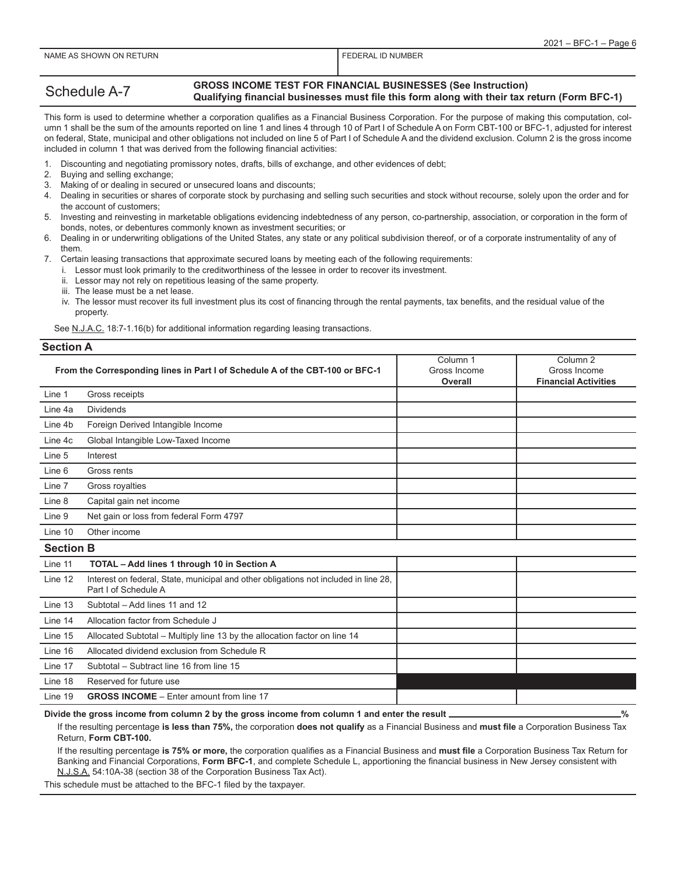## Schedule A-7 **GROSS INCOME TEST FOR FINANCIAL BUSINESSES (See Instruction) Qualifying financial businesses must file this form along with their tax return (Form BFC-1)**

This form is used to determine whether a corporation qualifies as a Financial Business Corporation. For the purpose of making this computation, column 1 shall be the sum of the amounts reported on line 1 and lines 4 through 10 of Part I of Schedule A on Form CBT-100 or BFC-1, adjusted for interest on federal, State, municipal and other obligations not included on line 5 of Part I of Schedule A and the dividend exclusion. Column 2 is the gross income included in column 1 that was derived from the following financial activities:

- 1. Discounting and negotiating promissory notes, drafts, bills of exchange, and other evidences of debt;
- Buying and selling exchange;
- 3. Making of or dealing in secured or unsecured loans and discounts;
- 4. Dealing in securities or shares of corporate stock by purchasing and selling such securities and stock without recourse, solely upon the order and for the account of customers;
- 5. Investing and reinvesting in marketable obligations evidencing indebtedness of any person, co-partnership, association, or corporation in the form of bonds, notes, or debentures commonly known as investment securities; or
- 6. Dealing in or underwriting obligations of the United States, any state or any political subdivision thereof, or of a corporate instrumentality of any of them.

7. Certain leasing transactions that approximate secured loans by meeting each of the following requirements:

- i. Lessor must look primarily to the creditworthiness of the lessee in order to recover its investment.
- ii. Lessor may not rely on repetitious leasing of the same property.
- iii. The lease must be a net lease.
- iv. The lessor must recover its full investment plus its cost of financing through the rental payments, tax benefits, and the residual value of the property.

See N.J.A.C. 18:7-1.16(b) for additional information regarding leasing transactions.

#### **Section A**

|                  | From the Corresponding lines in Part I of Schedule A of the CBT-100 or BFC-1                                 | Column <sub>1</sub><br>Gross Income<br>Overall | Column <sub>2</sub><br>Gross Income<br><b>Financial Activities</b> |
|------------------|--------------------------------------------------------------------------------------------------------------|------------------------------------------------|--------------------------------------------------------------------|
| Line 1           | Gross receipts                                                                                               |                                                |                                                                    |
| Line 4a          | <b>Dividends</b>                                                                                             |                                                |                                                                    |
| Line 4b          | Foreign Derived Intangible Income                                                                            |                                                |                                                                    |
| Line 4c          | Global Intangible Low-Taxed Income                                                                           |                                                |                                                                    |
| Line 5           | Interest                                                                                                     |                                                |                                                                    |
| Line 6           | Gross rents                                                                                                  |                                                |                                                                    |
| Line 7           | Gross royalties                                                                                              |                                                |                                                                    |
| Line 8           | Capital gain net income                                                                                      |                                                |                                                                    |
| Line 9           | Net gain or loss from federal Form 4797                                                                      |                                                |                                                                    |
| Line 10          | Other income                                                                                                 |                                                |                                                                    |
| <b>Section B</b> |                                                                                                              |                                                |                                                                    |
| Line 11          | TOTAL - Add lines 1 through 10 in Section A                                                                  |                                                |                                                                    |
| Line 12          | Interest on federal, State, municipal and other obligations not included in line 28,<br>Part I of Schedule A |                                                |                                                                    |
| Line 13          | Subtotal - Add lines 11 and 12                                                                               |                                                |                                                                    |
| Line 14          | Allocation factor from Schedule J                                                                            |                                                |                                                                    |
| Line 15          | Allocated Subtotal - Multiply line 13 by the allocation factor on line 14                                    |                                                |                                                                    |
| Line 16          | Allocated dividend exclusion from Schedule R                                                                 |                                                |                                                                    |
| Line 17          | Subtotal - Subtract line 16 from line 15                                                                     |                                                |                                                                    |
| Line 18          | Reserved for future use                                                                                      |                                                |                                                                    |
| Line 19          | <b>GROSS INCOME</b> – Enter amount from line 17                                                              |                                                |                                                                    |

Divide the gross income from column 2 by the gross income from column 1 and enter the result **express the struck of the struck**  $\%$ 

If the resulting percentage **is less than 75%,** the corporation **does not qualify** as a Financial Business and **must file** a Corporation Business Tax Return, **Form CBT-100.**

If the resulting percentage **is 75% or more,** the corporation qualifies as a Financial Business and **must file** a Corporation Business Tax Return for Banking and Financial Corporations, **Form BFC-1**, and complete Schedule L, apportioning the financial business in New Jersey consistent with N.J.S.A. 54:10A-38 (section 38 of the Corporation Business Tax Act).

This schedule must be attached to the BFC-1 filed by the taxpayer.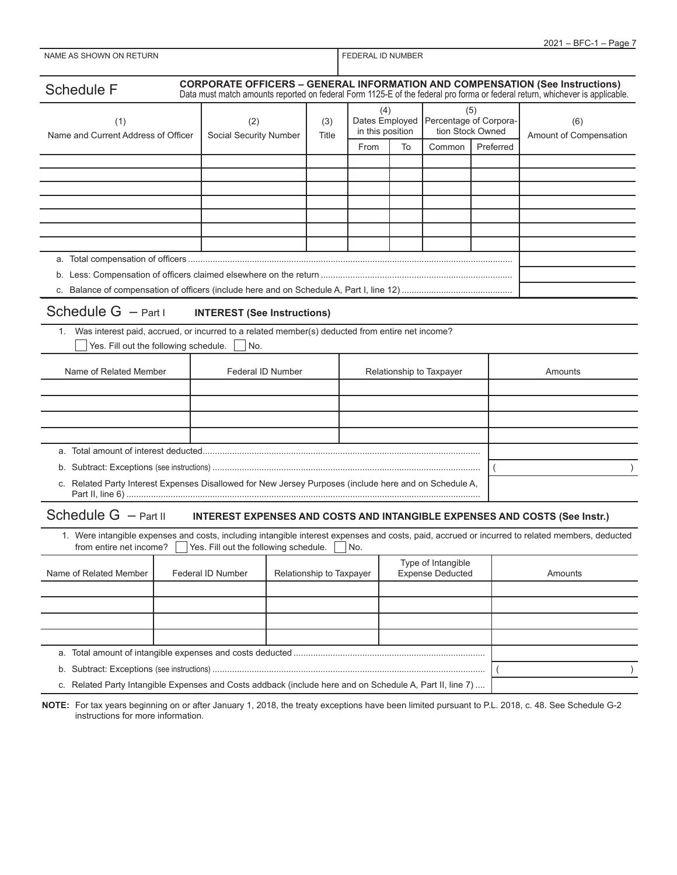|                                                                                                                                                                            |                                                                                     |                          |                   |                                    |                         |                                            | $2021 - BFC-1 - Page 7$                                                                                                      |
|----------------------------------------------------------------------------------------------------------------------------------------------------------------------------|-------------------------------------------------------------------------------------|--------------------------|-------------------|------------------------------------|-------------------------|--------------------------------------------|------------------------------------------------------------------------------------------------------------------------------|
| NAME AS SHOWN ON RETURN                                                                                                                                                    |                                                                                     |                          | FEDERAL ID NUMBER |                                    |                         |                                            |                                                                                                                              |
|                                                                                                                                                                            |                                                                                     |                          |                   |                                    |                         |                                            |                                                                                                                              |
| <b>Schedule F</b>                                                                                                                                                          | <b>CORPORATE OFFICERS - GENERAL INFORMATION AND COMPENSATION (See Instructions)</b> |                          |                   |                                    |                         |                                            | Data must match amounts reported on federal Form 1125-E of the federal pro forma or federal return, whichever is applicable. |
|                                                                                                                                                                            |                                                                                     |                          |                   | (4)                                |                         | (5)                                        |                                                                                                                              |
| (1)                                                                                                                                                                        | (2)                                                                                 | (3)<br>Title             |                   | Dates Employed<br>in this position |                         | Percentage of Corpora-<br>tion Stock Owned | (6)                                                                                                                          |
| Name and Current Address of Officer                                                                                                                                        | Social Security Number                                                              |                          |                   |                                    |                         |                                            | Amount of Compensation                                                                                                       |
|                                                                                                                                                                            |                                                                                     |                          | From              | To                                 | Common                  | Preferred                                  |                                                                                                                              |
|                                                                                                                                                                            |                                                                                     |                          |                   |                                    |                         |                                            |                                                                                                                              |
|                                                                                                                                                                            |                                                                                     |                          |                   |                                    |                         |                                            |                                                                                                                              |
|                                                                                                                                                                            |                                                                                     |                          |                   |                                    |                         |                                            |                                                                                                                              |
|                                                                                                                                                                            |                                                                                     |                          |                   |                                    |                         |                                            |                                                                                                                              |
|                                                                                                                                                                            |                                                                                     |                          |                   |                                    |                         |                                            |                                                                                                                              |
|                                                                                                                                                                            |                                                                                     |                          |                   |                                    |                         |                                            |                                                                                                                              |
|                                                                                                                                                                            |                                                                                     |                          |                   |                                    |                         |                                            |                                                                                                                              |
|                                                                                                                                                                            |                                                                                     |                          |                   |                                    |                         |                                            |                                                                                                                              |
|                                                                                                                                                                            |                                                                                     |                          |                   |                                    |                         |                                            |                                                                                                                              |
| Schedule $G - Part I$                                                                                                                                                      | <b>INTEREST (See Instructions)</b>                                                  |                          |                   |                                    |                         |                                            |                                                                                                                              |
| 1. Was interest paid, accrued, or incurred to a related member(s) deducted from entire net income?                                                                         |                                                                                     |                          |                   |                                    |                         |                                            |                                                                                                                              |
| Yes. Fill out the following schedule.                                                                                                                                      | No.                                                                                 |                          |                   |                                    |                         |                                            |                                                                                                                              |
|                                                                                                                                                                            |                                                                                     |                          |                   |                                    |                         |                                            |                                                                                                                              |
| Name of Related Member<br>Federal ID Number<br>Relationship to Taxpayer                                                                                                    |                                                                                     |                          |                   | Amounts                            |                         |                                            |                                                                                                                              |
|                                                                                                                                                                            |                                                                                     |                          |                   |                                    |                         |                                            |                                                                                                                              |
|                                                                                                                                                                            |                                                                                     |                          |                   |                                    |                         |                                            |                                                                                                                              |
|                                                                                                                                                                            |                                                                                     |                          |                   |                                    |                         |                                            |                                                                                                                              |
|                                                                                                                                                                            |                                                                                     |                          |                   |                                    |                         |                                            |                                                                                                                              |
|                                                                                                                                                                            |                                                                                     |                          |                   |                                    |                         |                                            |                                                                                                                              |
|                                                                                                                                                                            |                                                                                     |                          |                   |                                    |                         |                                            |                                                                                                                              |
| c. Related Party Interest Expenses Disallowed for New Jersey Purposes (include here and on Schedule A,                                                                     |                                                                                     |                          |                   |                                    |                         |                                            |                                                                                                                              |
|                                                                                                                                                                            |                                                                                     |                          |                   |                                    |                         |                                            |                                                                                                                              |
| Schedule $G - Part II$                                                                                                                                                     | INTEREST EXPENSES AND COSTS AND INTANGIBLE EXPENSES AND COSTS (See Instr.)          |                          |                   |                                    |                         |                                            |                                                                                                                              |
| 1. Were intangible expenses and costs, including intangible interest expenses and costs, paid, accrued or incurred to related members, deducted<br>from entire net income? | Yes. Fill out the following schedule.                                               |                          | No.               |                                    |                         |                                            |                                                                                                                              |
|                                                                                                                                                                            |                                                                                     |                          |                   |                                    | Type of Intangible      |                                            |                                                                                                                              |
| Name of Related Member                                                                                                                                                     | Federal ID Number                                                                   | Relationship to Taxpayer |                   |                                    | <b>Expense Deducted</b> |                                            | Amounts                                                                                                                      |
|                                                                                                                                                                            |                                                                                     |                          |                   |                                    |                         |                                            |                                                                                                                              |
|                                                                                                                                                                            |                                                                                     |                          |                   |                                    |                         |                                            |                                                                                                                              |
|                                                                                                                                                                            |                                                                                     |                          |                   |                                    |                         |                                            |                                                                                                                              |
|                                                                                                                                                                            |                                                                                     |                          |                   |                                    |                         |                                            |                                                                                                                              |
|                                                                                                                                                                            |                                                                                     |                          |                   |                                    |                         |                                            |                                                                                                                              |

b. Subtract: Exceptions (see instructions) ............................................................................................................... ( )

c. Related Party Intangible Expenses and Costs addback (include here and on Schedule A, Part II, line 7) ....

**NOTE:** For tax years beginning on or after January 1, 2018, the treaty exceptions have been limited pursuant to P.L. 2018, c. 48. See Schedule G-2 instructions for more information.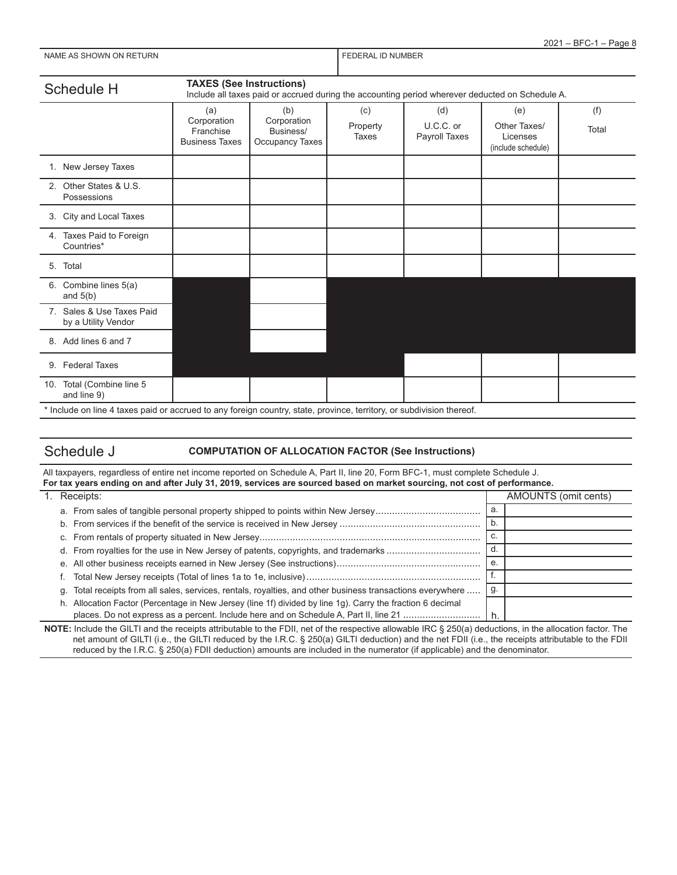| 2021 - BFC-1 - Page 8 |
|-----------------------|
|-----------------------|

| NAME AS SHOWN ON RETURN |
|-------------------------|
|-------------------------|

FEDERAL ID NUMBER

| Schedule H                                                                                                            | <b>TAXES (See Instructions)</b> | Include all taxes paid or accrued during the accounting period wherever deducted on Schedule A. |                 |                  |                                |              |
|-----------------------------------------------------------------------------------------------------------------------|---------------------------------|-------------------------------------------------------------------------------------------------|-----------------|------------------|--------------------------------|--------------|
|                                                                                                                       | (a)<br>Corporation<br>Franchise | (b)<br>Corporation<br>Business/                                                                 | (c)<br>Property | (d)<br>U.C.C. or | (e)<br>Other Taxes/            | (f)<br>Total |
|                                                                                                                       | <b>Business Taxes</b>           | Occupancy Taxes                                                                                 | Taxes           | Payroll Taxes    | Licenses<br>(include schedule) |              |
| 1. New Jersey Taxes                                                                                                   |                                 |                                                                                                 |                 |                  |                                |              |
| 2. Other States & U.S.<br>Possessions                                                                                 |                                 |                                                                                                 |                 |                  |                                |              |
| 3. City and Local Taxes                                                                                               |                                 |                                                                                                 |                 |                  |                                |              |
| 4. Taxes Paid to Foreign<br>Countries*                                                                                |                                 |                                                                                                 |                 |                  |                                |              |
| 5. Total                                                                                                              |                                 |                                                                                                 |                 |                  |                                |              |
| 6. Combine lines 5(a)<br>and $5(b)$                                                                                   |                                 |                                                                                                 |                 |                  |                                |              |
| 7. Sales & Use Taxes Paid<br>by a Utility Vendor                                                                      |                                 |                                                                                                 |                 |                  |                                |              |
| 8. Add lines 6 and 7                                                                                                  |                                 |                                                                                                 |                 |                  |                                |              |
| 9. Federal Taxes                                                                                                      |                                 |                                                                                                 |                 |                  |                                |              |
| 10. Total (Combine line 5<br>and line 9)                                                                              |                                 |                                                                                                 |                 |                  |                                |              |
| * Include on line 4 taxes paid or accrued to any foreign country, state, province, territory, or subdivision thereof. |                                 |                                                                                                 |                 |                  |                                |              |

## Schedule J **COMPUTATION OF ALLOCATION FACTOR (See Instructions)**

| All taxpayers, regardless of entire net income reported on Schedule A, Part II, line 20, Form BFC-1, must complete Schedule J.<br>For tax years ending on and after July 31, 2019, services are sourced based on market sourcing, not cost of performance. |  |    |                      |  |  |  |
|------------------------------------------------------------------------------------------------------------------------------------------------------------------------------------------------------------------------------------------------------------|--|----|----------------------|--|--|--|
| 1. Receipts:                                                                                                                                                                                                                                               |  |    | AMOUNTS (omit cents) |  |  |  |
| a. From sales of tangible personal property shipped to points within New Jersey                                                                                                                                                                            |  | a. |                      |  |  |  |
|                                                                                                                                                                                                                                                            |  | b. |                      |  |  |  |
|                                                                                                                                                                                                                                                            |  | c. |                      |  |  |  |
|                                                                                                                                                                                                                                                            |  | d. |                      |  |  |  |
|                                                                                                                                                                                                                                                            |  | е. |                      |  |  |  |
|                                                                                                                                                                                                                                                            |  |    |                      |  |  |  |
| . Total receipts from all sales, services, rentals, royalties, and other business transactions everywhere<br>q.                                                                                                                                            |  | g. |                      |  |  |  |
| h. Allocation Factor (Percentage in New Jersey (line 1f) divided by line 1g). Carry the fraction 6 decimal                                                                                                                                                 |  |    |                      |  |  |  |
| places. Do not express as a percent. Include here and on Schedule A, Part II, line 21                                                                                                                                                                      |  |    |                      |  |  |  |

**NOTE:** Include the GILTI and the receipts attributable to the FDII, net of the respective allowable IRC § 250(a) deductions, in the allocation factor. The net amount of GILTI (i.e., the GILTI reduced by the I.R.C. § 250(a) GILTI deduction) and the net FDII (i.e., the receipts attributable to the FDII reduced by the I.R.C. § 250(a) FDII deduction) amounts are included in the numerator (if applicable) and the denominator.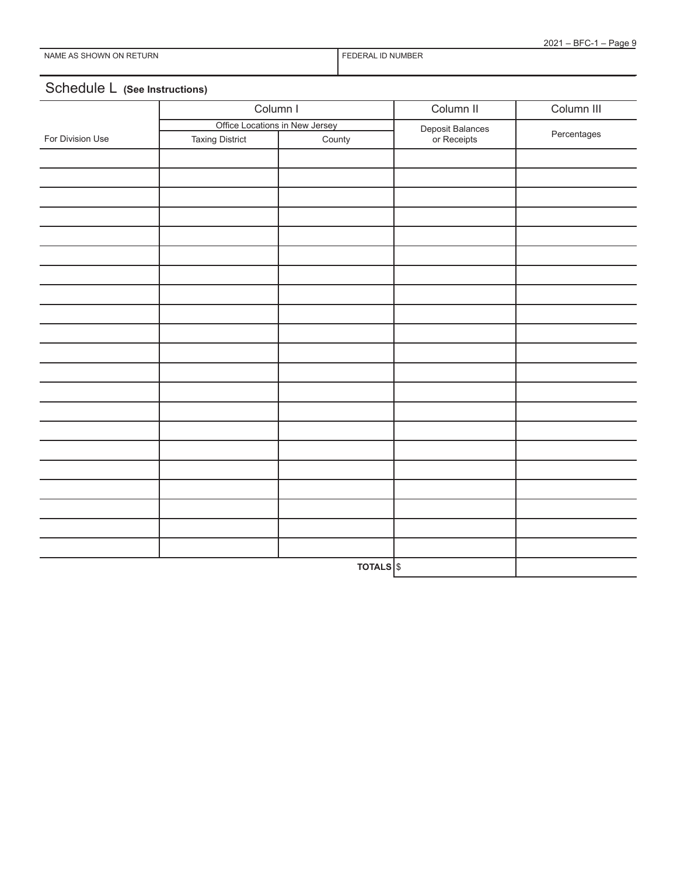## Schedule L **(See Instructions)**

|                  | Column I                       |                     | Column II                       | Column III  |  |
|------------------|--------------------------------|---------------------|---------------------------------|-------------|--|
|                  | Office Locations in New Jersey |                     |                                 |             |  |
| For Division Use | <b>Taxing District</b>         | County              | Deposit Balances<br>or Receipts | Percentages |  |
|                  |                                |                     |                                 |             |  |
|                  |                                |                     |                                 |             |  |
|                  |                                |                     |                                 |             |  |
|                  |                                |                     |                                 |             |  |
|                  |                                |                     |                                 |             |  |
|                  |                                |                     |                                 |             |  |
|                  |                                |                     |                                 |             |  |
|                  |                                |                     |                                 |             |  |
|                  |                                |                     |                                 |             |  |
|                  |                                |                     |                                 |             |  |
|                  |                                |                     |                                 |             |  |
|                  |                                |                     |                                 |             |  |
|                  |                                |                     |                                 |             |  |
|                  |                                |                     |                                 |             |  |
|                  |                                |                     |                                 |             |  |
|                  |                                |                     |                                 |             |  |
|                  |                                |                     |                                 |             |  |
|                  |                                |                     |                                 |             |  |
|                  |                                |                     |                                 |             |  |
|                  |                                |                     |                                 |             |  |
|                  |                                |                     |                                 |             |  |
|                  |                                | TOTALS <sup>S</sup> |                                 |             |  |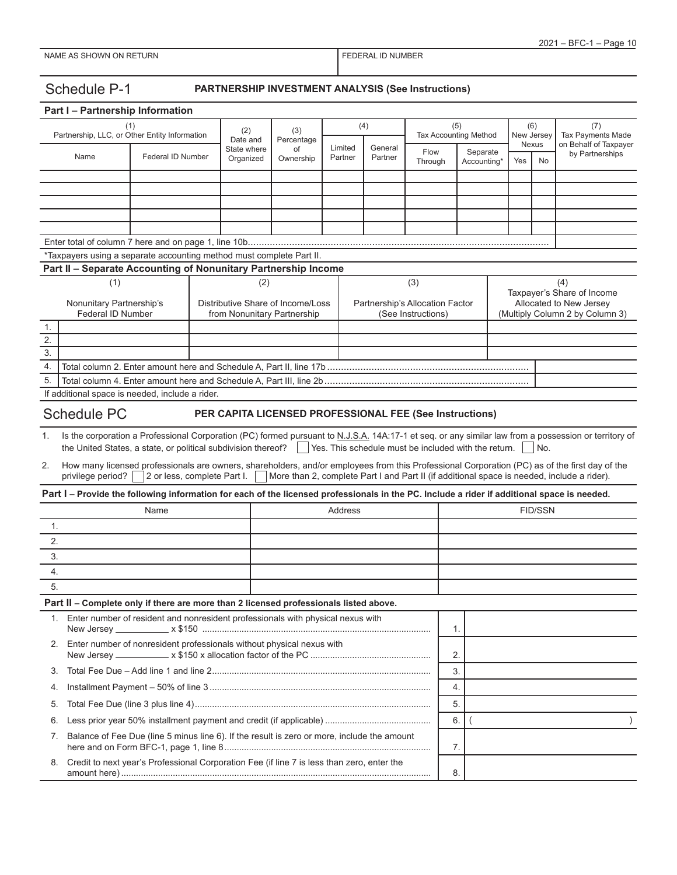Schedule P-1 **PARTNERSHIP INVESTMENT ANALYSIS (See Instructions)**

|                                               | Part I - Partnership Information                                                                                                            |                                      |  |                          |                                                                  |                    |                                     |                                                       |                |                         |                          |                    |                                                                                                                                                                                                                                             |
|-----------------------------------------------|---------------------------------------------------------------------------------------------------------------------------------------------|--------------------------------------|--|--------------------------|------------------------------------------------------------------|--------------------|-------------------------------------|-------------------------------------------------------|----------------|-------------------------|--------------------------|--------------------|---------------------------------------------------------------------------------------------------------------------------------------------------------------------------------------------------------------------------------------------|
| Partnership, LLC, or Other Entity Information |                                                                                                                                             | (2)<br>(3)<br>Date and<br>Percentage |  |                          | (4)                                                              |                    | (5)<br><b>Tax Accounting Method</b> |                                                       |                | (6)<br>New Jersey       | (7)<br>Tax Payments Made |                    |                                                                                                                                                                                                                                             |
|                                               | Name                                                                                                                                        | Federal ID Number                    |  | State where<br>Organized | οf<br>Ownership                                                  | Limited<br>Partner | General<br>Partner                  | Flow<br>Through                                       |                | Separate<br>Accounting* |                          | <b>Nexus</b><br>No | on Behalf of Taxpayer<br>by Partnerships                                                                                                                                                                                                    |
|                                               |                                                                                                                                             |                                      |  |                          |                                                                  |                    |                                     |                                                       |                |                         |                          |                    |                                                                                                                                                                                                                                             |
|                                               |                                                                                                                                             |                                      |  |                          |                                                                  |                    |                                     |                                                       |                |                         |                          |                    |                                                                                                                                                                                                                                             |
|                                               |                                                                                                                                             |                                      |  |                          |                                                                  |                    |                                     |                                                       |                |                         |                          |                    |                                                                                                                                                                                                                                             |
|                                               |                                                                                                                                             |                                      |  |                          |                                                                  |                    |                                     |                                                       |                |                         |                          |                    |                                                                                                                                                                                                                                             |
|                                               |                                                                                                                                             |                                      |  |                          |                                                                  |                    |                                     |                                                       |                |                         |                          |                    |                                                                                                                                                                                                                                             |
|                                               | *Taxpayers using a separate accounting method must complete Part II.                                                                        |                                      |  |                          |                                                                  |                    |                                     |                                                       |                |                         |                          |                    |                                                                                                                                                                                                                                             |
|                                               | Part II - Separate Accounting of Nonunitary Partnership Income                                                                              |                                      |  |                          |                                                                  |                    |                                     |                                                       |                |                         |                          |                    |                                                                                                                                                                                                                                             |
|                                               | (1)                                                                                                                                         |                                      |  | (2)                      |                                                                  |                    |                                     | (3)                                                   |                |                         |                          |                    | (4)                                                                                                                                                                                                                                         |
|                                               | Nonunitary Partnership's<br>Federal ID Number                                                                                               |                                      |  |                          | Distributive Share of Income/Loss<br>from Nonunitary Partnership |                    |                                     | Partnership's Allocation Factor<br>(See Instructions) |                |                         |                          |                    | Taxpayer's Share of Income<br>Allocated to New Jersey<br>(Multiply Column 2 by Column 3)                                                                                                                                                    |
| 1.                                            |                                                                                                                                             |                                      |  |                          |                                                                  |                    |                                     |                                                       |                |                         |                          |                    |                                                                                                                                                                                                                                             |
| 2.                                            |                                                                                                                                             |                                      |  |                          |                                                                  |                    |                                     |                                                       |                |                         |                          |                    |                                                                                                                                                                                                                                             |
| $\overline{3}$ .                              |                                                                                                                                             |                                      |  |                          |                                                                  |                    |                                     |                                                       |                |                         |                          |                    |                                                                                                                                                                                                                                             |
| 4.<br>5.                                      |                                                                                                                                             |                                      |  |                          |                                                                  |                    |                                     |                                                       |                |                         |                          |                    |                                                                                                                                                                                                                                             |
|                                               | If additional space is needed, include a rider.                                                                                             |                                      |  |                          |                                                                  |                    |                                     |                                                       |                |                         |                          |                    |                                                                                                                                                                                                                                             |
|                                               |                                                                                                                                             |                                      |  |                          |                                                                  |                    |                                     |                                                       |                |                         |                          |                    |                                                                                                                                                                                                                                             |
|                                               | <b>Schedule PC</b>                                                                                                                          |                                      |  |                          | PER CAPITA LICENSED PROFESSIONAL FEE (See Instructions)          |                    |                                     |                                                       |                |                         |                          |                    |                                                                                                                                                                                                                                             |
| 1.                                            | the United States, a state, or political subdivision thereof?                                                                               |                                      |  |                          |                                                                  |                    |                                     | Yes. This schedule must be included with the return.  |                |                         |                          | No.                | Is the corporation a Professional Corporation (PC) formed pursuant to N.J.S.A. 14A:17-1 et seq. or any similar law from a possession or territory of                                                                                        |
| 2.                                            | privilege period?                                                                                                                           | 2 or less, complete Part I.          |  |                          |                                                                  |                    |                                     |                                                       |                |                         |                          |                    | How many licensed professionals are owners, shareholders, and/or employees from this Professional Corporation (PC) as of the first day of the<br>More than 2, complete Part I and Part II (if additional space is needed, include a rider). |
|                                               | Part I - Provide the following information for each of the licensed professionals in the PC. Include a rider if additional space is needed. |                                      |  |                          |                                                                  |                    |                                     |                                                       |                |                         |                          |                    |                                                                                                                                                                                                                                             |
|                                               |                                                                                                                                             | Name                                 |  |                          |                                                                  | Address            |                                     |                                                       |                |                         |                          | <b>FID/SSN</b>     |                                                                                                                                                                                                                                             |
| 1.                                            |                                                                                                                                             |                                      |  |                          |                                                                  |                    |                                     |                                                       |                |                         |                          |                    |                                                                                                                                                                                                                                             |
| 2.                                            |                                                                                                                                             |                                      |  |                          |                                                                  |                    |                                     |                                                       |                |                         |                          |                    |                                                                                                                                                                                                                                             |
| 3.                                            |                                                                                                                                             |                                      |  |                          |                                                                  |                    |                                     |                                                       |                |                         |                          |                    |                                                                                                                                                                                                                                             |
| 4.                                            |                                                                                                                                             |                                      |  |                          |                                                                  |                    |                                     |                                                       |                |                         |                          |                    |                                                                                                                                                                                                                                             |
| 5.                                            |                                                                                                                                             |                                      |  |                          |                                                                  |                    |                                     |                                                       |                |                         |                          |                    |                                                                                                                                                                                                                                             |
|                                               | Part II - Complete only if there are more than 2 licensed professionals listed above.                                                       |                                      |  |                          |                                                                  |                    |                                     |                                                       |                |                         |                          |                    |                                                                                                                                                                                                                                             |
| 1.                                            | Enter number of resident and nonresident professionals with physical nexus with                                                             |                                      |  |                          |                                                                  |                    |                                     |                                                       | $\mathbf{1}$ . |                         |                          |                    |                                                                                                                                                                                                                                             |
|                                               | 2. Enter number of nonresident professionals without physical nexus with<br>2.                                                              |                                      |  |                          |                                                                  |                    |                                     |                                                       |                |                         |                          |                    |                                                                                                                                                                                                                                             |
| 3.                                            |                                                                                                                                             |                                      |  |                          |                                                                  |                    |                                     | 3.                                                    |                |                         |                          |                    |                                                                                                                                                                                                                                             |
|                                               | 4.                                                                                                                                          |                                      |  |                          |                                                                  | 4.                 |                                     |                                                       |                |                         |                          |                    |                                                                                                                                                                                                                                             |
| 5.                                            |                                                                                                                                             |                                      |  |                          |                                                                  |                    |                                     | 5.                                                    |                |                         |                          |                    |                                                                                                                                                                                                                                             |
| 6.                                            |                                                                                                                                             |                                      |  |                          |                                                                  |                    |                                     |                                                       | 6.             |                         |                          |                    | $\lambda$                                                                                                                                                                                                                                   |
| 7.                                            | Balance of Fee Due (line 5 minus line 6). If the result is zero or more, include the amount                                                 |                                      |  |                          |                                                                  |                    |                                     |                                                       | 7.             |                         |                          |                    |                                                                                                                                                                                                                                             |
| 8.                                            | Credit to next year's Professional Corporation Fee (if line 7 is less than zero, enter the                                                  |                                      |  |                          |                                                                  |                    |                                     |                                                       | 8.             |                         |                          |                    |                                                                                                                                                                                                                                             |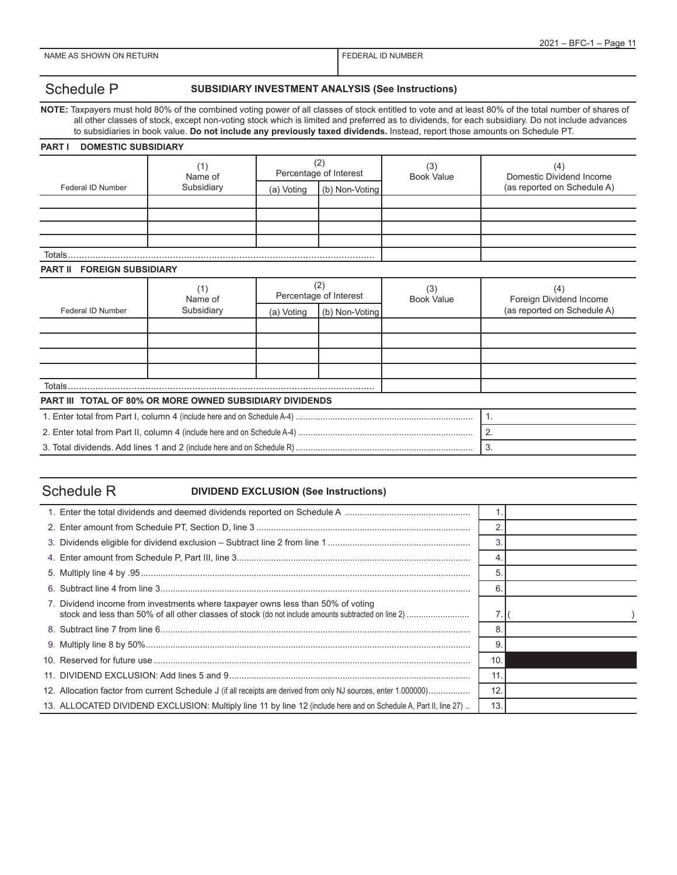FEDERAL ID NUMBER

## Schedule P **SUBSIDIARY INVESTMENT ANALYSIS (See Instructions)**

**NOTE:** Taxpayers must hold 80% of the combined voting power of all classes of stock entitled to vote and at least 80% of the total number of shares of all other classes of stock, except non-voting stock which is limited and preferred as to dividends, for each subsidiary. Do not include advances to subsidiaries in book value. **Do not include any previously taxed dividends.** Instead, report those amounts on Schedule PT.

| <b>DOMESTIC SUBSIDIARY</b><br><b>PART I</b>              |                |                               |                |                          |                                 |  |
|----------------------------------------------------------|----------------|-------------------------------|----------------|--------------------------|---------------------------------|--|
|                                                          | (1)<br>Name of | (2)<br>Percentage of Interest |                | (3)<br><b>Book Value</b> | (4)<br>Domestic Dividend Income |  |
| <b>Federal ID Number</b>                                 | Subsidiary     | (a) Voting                    | (b) Non-Voting |                          | (as reported on Schedule A)     |  |
|                                                          |                |                               |                |                          |                                 |  |
|                                                          |                |                               |                |                          |                                 |  |
|                                                          |                |                               |                |                          |                                 |  |
| Totals                                                   |                |                               |                |                          |                                 |  |
| <b>FOREIGN SUBSIDIARY</b><br><b>PART II</b>              |                |                               |                |                          |                                 |  |
|                                                          | (1)<br>Name of | (2)<br>Percentage of Interest |                | (3)<br><b>Book Value</b> | (4)<br>Foreign Dividend Income  |  |
| <b>Federal ID Number</b>                                 | Subsidiary     | (a) Voting                    | (b) Non-Voting |                          | (as reported on Schedule A)     |  |
|                                                          |                |                               |                |                          |                                 |  |
|                                                          |                |                               |                |                          |                                 |  |
|                                                          |                |                               |                |                          |                                 |  |
|                                                          |                |                               |                |                          |                                 |  |
| Totals                                                   |                |                               |                |                          |                                 |  |
| PART III TOTAL OF 80% OR MORE OWNED SUBSIDIARY DIVIDENDS |                |                               |                |                          |                                 |  |
|                                                          | $\mathbf{1}$ . |                               |                |                          |                                 |  |
|                                                          | 2.             |                               |                |                          |                                 |  |
|                                                          |                |                               |                |                          | 3.                              |  |

## Schedule R **DIVIDEND EXCLUSION (See Instructions)**

|                                                                                                                  | 6  |  |
|------------------------------------------------------------------------------------------------------------------|----|--|
| 7. Dividend income from investments where taxpayer owns less than 50% of voting                                  |    |  |
|                                                                                                                  | 8  |  |
|                                                                                                                  |    |  |
|                                                                                                                  | 10 |  |
|                                                                                                                  | 11 |  |
| 12. Allocation factor from current Schedule J (if all receipts are derived from only NJ sources, enter 1.000000) | 12 |  |
| 13. ALLOCATED DIVIDEND EXCLUSION: Multiply line 11 by line 12 (include here and on Schedule A, Part II, line 27) | 13 |  |
|                                                                                                                  |    |  |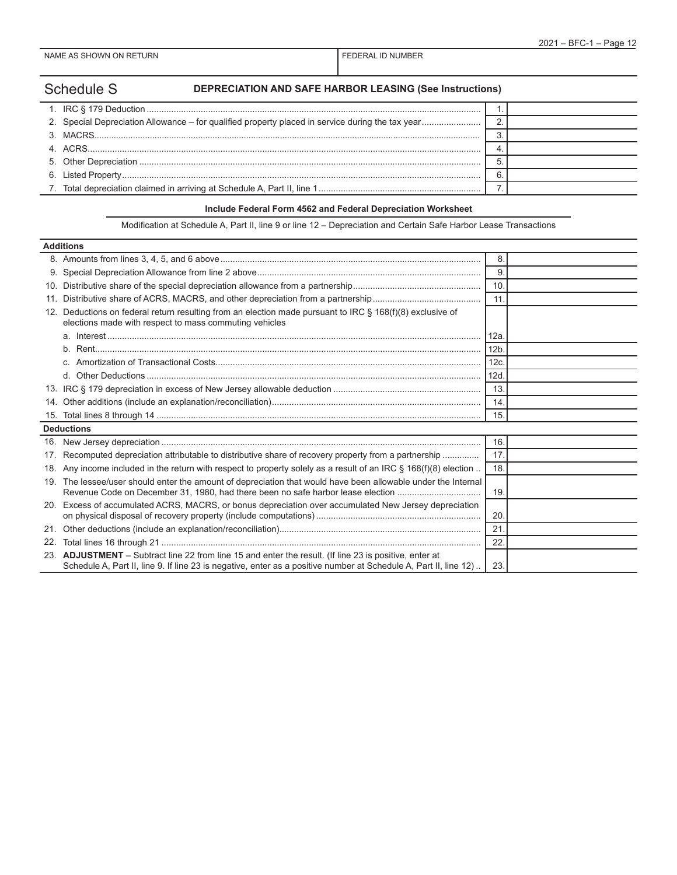Schedule S **DEPRECIATION AND SAFE HARBOR LEASING (See Instructions)**

## **Include Federal Form 4562 and Federal Depreciation Worksheet**

Modification at Schedule A, Part II, line 9 or line 12 – Depreciation and Certain Safe Harbor Lease Transactions

|                 | <b>Additions</b>                                                                                                                                                                                                           |                 |  |
|-----------------|----------------------------------------------------------------------------------------------------------------------------------------------------------------------------------------------------------------------------|-----------------|--|
|                 |                                                                                                                                                                                                                            | 8.              |  |
|                 |                                                                                                                                                                                                                            | 9.              |  |
| 10.             |                                                                                                                                                                                                                            | 10 <sub>1</sub> |  |
| 11.             |                                                                                                                                                                                                                            | 11              |  |
| 12.             | Deductions on federal return resulting from an election made pursuant to IRC § 168(f)(8) exclusive of<br>elections made with respect to mass commuting vehicles                                                            |                 |  |
|                 |                                                                                                                                                                                                                            | 12a             |  |
|                 |                                                                                                                                                                                                                            | 12 <sub>b</sub> |  |
|                 |                                                                                                                                                                                                                            | 12c             |  |
|                 |                                                                                                                                                                                                                            | 12d             |  |
|                 |                                                                                                                                                                                                                            | 13.             |  |
| 14.             |                                                                                                                                                                                                                            | 14.             |  |
|                 |                                                                                                                                                                                                                            | 15.             |  |
|                 | <b>Deductions</b>                                                                                                                                                                                                          |                 |  |
|                 |                                                                                                                                                                                                                            | 16.             |  |
| 17 <sub>1</sub> | Recomputed depreciation attributable to distributive share of recovery property from a partnership                                                                                                                         | 17.             |  |
|                 | 18. Any income included in the return with respect to property solely as a result of an IRC § 168(f)(8) election                                                                                                           | 18.             |  |
|                 | 19. The lessee/user should enter the amount of depreciation that would have been allowable under the Internal<br>Revenue Code on December 31, 1980, had there been no safe harbor lease election                           | 19.             |  |
|                 | 20. Excess of accumulated ACRS, MACRS, or bonus depreciation over accumulated New Jersey depreciation                                                                                                                      | 20              |  |
| 21.             |                                                                                                                                                                                                                            | 21              |  |
| 22.             |                                                                                                                                                                                                                            | 22              |  |
|                 | 23. ADJUSTMENT - Subtract line 22 from line 15 and enter the result. (If line 23 is positive, enter at<br>Schedule A, Part II, line 9. If line 23 is negative, enter as a positive number at Schedule A, Part II, line 12) | 23.             |  |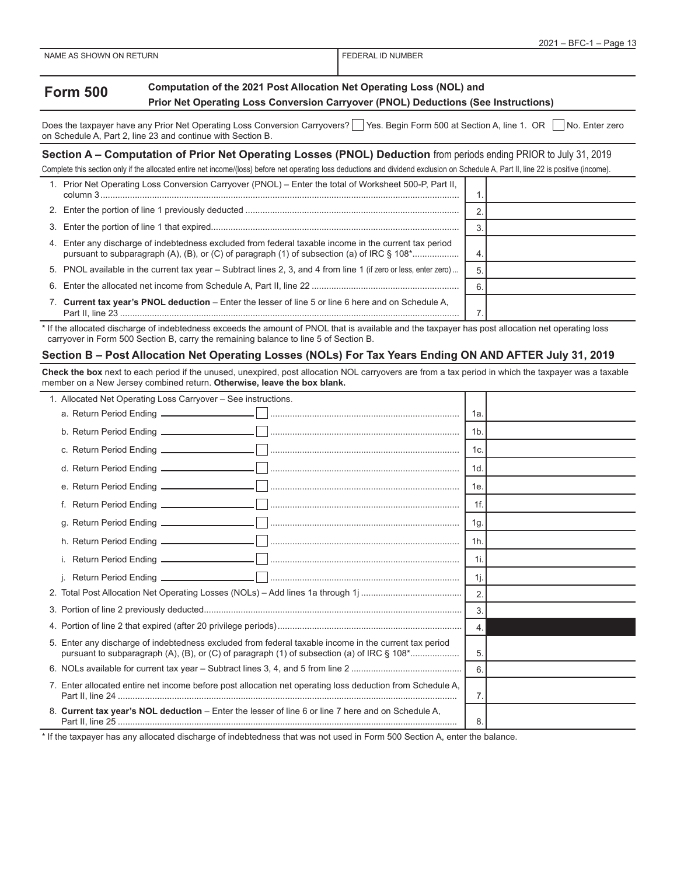|                         | $-$ BFC-1<br>2021<br>Page 13 |
|-------------------------|------------------------------|
| NAME AS SHOWN ON RETURN | FEDERAL ID NUMBER            |
|                         |                              |

| <b>Form 500</b> | Computation of the 2021 Post Allocation Net Operating Loss (NOL) and               |  |  |  |  |  |
|-----------------|------------------------------------------------------------------------------------|--|--|--|--|--|
|                 | Prior Net Operating Loss Conversion Carryover (PNOL) Deductions (See Instructions) |  |  |  |  |  |

Does the taxpayer have any Prior Net Operating Loss Conversion Carryovers? Yes. Begin Form 500 at Section A, line 1. OR No. Enter zero on Schedule A, Part 2, line 23 and continue with Section B.

## **Section A – Computation of Prior Net Operating Losses (PNOL) Deduction** from periods ending PRIOR to July 31, 2019

Complete this section only if the allocated entire net income/(loss) before net operating loss deductions and dividend exclusion on Schedule A, Part II, line 22 is positive (income).

| 1. Prior Net Operating Loss Conversion Carryover (PNOL) - Enter the total of Worksheet 500-P, Part II,<br>column 3. |  |
|---------------------------------------------------------------------------------------------------------------------|--|
|                                                                                                                     |  |
|                                                                                                                     |  |
| 4. Enter any discharge of indebtedness excluded from federal taxable income in the current tax period               |  |
| 5. PNOL available in the current tax year – Subtract lines 2, 3, and 4 from line 1 (if zero or less, enter zero)    |  |
|                                                                                                                     |  |
| 7. Current tax year's PNOL deduction – Enter the lesser of line 5 or line 6 here and on Schedule A,                 |  |

\* If the allocated discharge of indebtedness exceeds the amount of PNOL that is available and the taxpayer has post allocation net operating loss carryover in Form 500 Section B, carry the remaining balance to line 5 of Section B.

### **Section B – Post Allocation Net Operating Losses (NOLs) For Tax Years Ending ON AND AFTER July 31, 2019**

**Check the box** next to each period if the unused, unexpired, post allocation NOL carryovers are from a tax period in which the taxpayer was a taxable member on a New Jersey combined return. **Otherwise, leave the box blank.**

| 1. Allocated Net Operating Loss Carryover - See instructions.                                             |                  |  |
|-----------------------------------------------------------------------------------------------------------|------------------|--|
|                                                                                                           | 1a.              |  |
|                                                                                                           | 1 <sub>b</sub>   |  |
|                                                                                                           | 1c.              |  |
|                                                                                                           | 1d               |  |
|                                                                                                           | 1e.              |  |
|                                                                                                           | $1f$ .           |  |
|                                                                                                           | 1g.              |  |
|                                                                                                           | 1 <sub>h</sub>   |  |
|                                                                                                           | 1i.              |  |
|                                                                                                           | 1j.              |  |
|                                                                                                           | $\overline{2}$ . |  |
|                                                                                                           | 3.               |  |
|                                                                                                           |                  |  |
| 5. Enter any discharge of indebtedness excluded from federal taxable income in the current tax period     |                  |  |
|                                                                                                           | 6                |  |
| 7. Enter allocated entire net income before post allocation net operating loss deduction from Schedule A, |                  |  |
| 8. Current tax year's NOL deduction - Enter the lesser of line 6 or line 7 here and on Schedule A,        |                  |  |

\* If the taxpayer has any allocated discharge of indebtedness that was not used in Form 500 Section A, enter the balance.